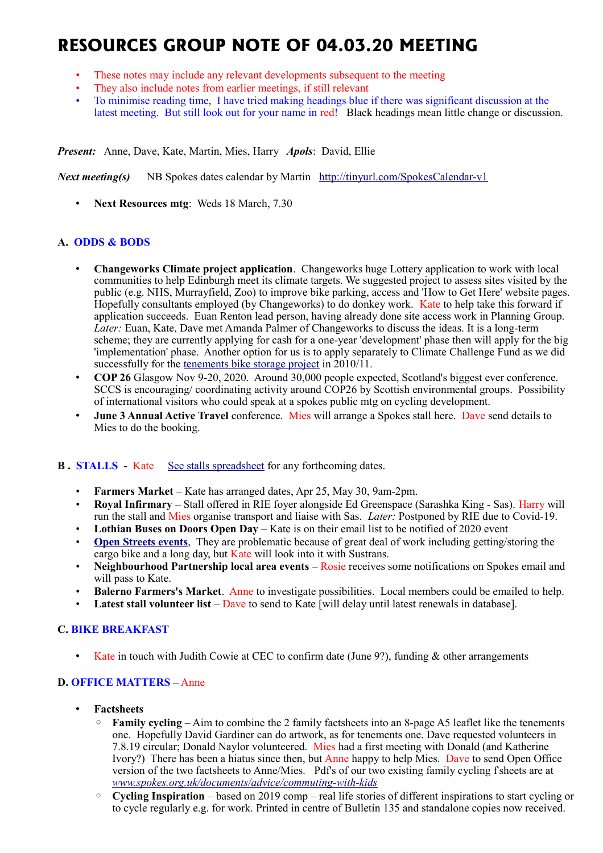# **RESOURCES GROUP NOTE OF 04.03.20 MEETING**

- These notes may include any relevant developments subsequent to the meeting
- They also include notes from earlier meetings, if still relevant
- To minimise reading time, I have tried making headings blue if there was significant discussion at the latest meeting. But still look out for your name in red! Black headings mean little change or discussion.

*Present:* Anne, Dave, Kate, Martin, Mies, Harry *Apols*: David, Ellie

*Next meeting(s)*NB Spokes dates calendar by Martin <http://tinyurl.com/SpokesCalendar-v1>

• **Next Resources mtg**: Weds 18 March, 7.30

# **A. ODDS & BODS**

- **Changeworks Climate project application**. Changeworks huge Lottery application to work with local communities to help Edinburgh meet its climate targets. We suggested project to assess sites visited by the public (e.g. NHS, Murrayfield, Zoo) to improve bike parking, access and 'How to Get Here' website pages. Hopefully consultants employed (by Changeworks) to do donkey work. Kate to help take this forward if application succeeds. Euan Renton lead person, having already done site access work in Planning Group. *Later:* Euan, Kate, Dave met Amanda Palmer of Changeworks to discuss the ideas. It is a long-term scheme; they are currently applying for cash for a one-year 'development' phase then will apply for the big 'implementation' phase. Another option for us is to apply separately to Climate Challenge Fund as we did successfully for the [tenements bike storage project](http://www.spokes.org.uk/documents/advice/spokes-tenementsflats-bike-storage-project/) in 2010/11.
- **COP 26** Glasgow Nov 9-20, 2020. Around 30,000 people expected, Scotland's biggest ever conference. SCCS is encouraging/ coordinating activity around COP26 by Scottish environmental groups. Possibility of international visitors who could speak at a spokes public mtg on cycling development.
- **June 3 Annual Active Travel** conference. Mies will arrange a Spokes stall here. Dave send details to Mies to do the booking.

## **B.** STALLS - Kate [See stalls spreadsheet](https://docs.google.com/spreadsheets/d/1ixmHbC_ROc0P1GdGfFFx5hFzYwe4wZuTg5QcqDY7yWQ/edit?usp=drivesdk) for any forthcoming dates.

- **Farmers Market** Kate has arranged dates, Apr 25, May 30, 9am-2pm.
- **Royal Infirmary** Stall offered in RIE foyer alongside Ed Greenspace (Sarashka King Sas). Harry will run the stall and Mies organise transport and liaise with Sas. *Later:* Postponed by RIE due to Covid-19.
- **Lothian Buses on Doors Open Day** Kate is on their email list to be notified of 2020 event
- **[Open Streets events](http://www.edinburgh.gov.uk/connectingplaces/info/9/consultation/20/open_streets_consultation).** They are problematic because of great deal of work including getting/storing the cargo bike and a long day, but Kate will look into it with Sustrans.
- **Neighbourhood Partnership local area events** Rosie receives some notifications on Spokes email and will pass to Kate.
- **Balerno Farmers's Market**. Anne to investigate possibilities. Local members could be emailed to help.
- **Latest stall volunteer list** Dave to send to Kate [will delay until latest renewals in database].

# **C. BIKE BREAKFAST**

• Kate in touch with Judith Cowie at CEC to confirm date (June 9?), funding & other arrangements

# **D. OFFICE MATTERS** – Anne

- **Factsheets**
	- **Family cycling** Aim to combine the 2 family factsheets into an 8-page A5 leaflet like the tenements one. Hopefully David Gardiner can do artwork, as for tenements one. Dave requested volunteers in 7.8.19 circular; Donald Naylor volunteered. Mies had a first meeting with Donald (and Katherine Ivory?) There has been a hiatus since then, but Anne happy to help Mies. Dave to send Open Office version of the two factsheets to Anne/Mies. Pdf's of our two existing family cycling f'sheets are at *[www.spokes.org.uk/documents/advice/commuting-with-kids](http://www.spokes.org.uk/documents/advice/commuting-with-kids)*
	- **Cycling Inspiration** based on 2019 comp real life stories of different inspirations to start cycling or to cycle regularly e.g. for work. Printed in centre of Bulletin 135 and standalone copies now received.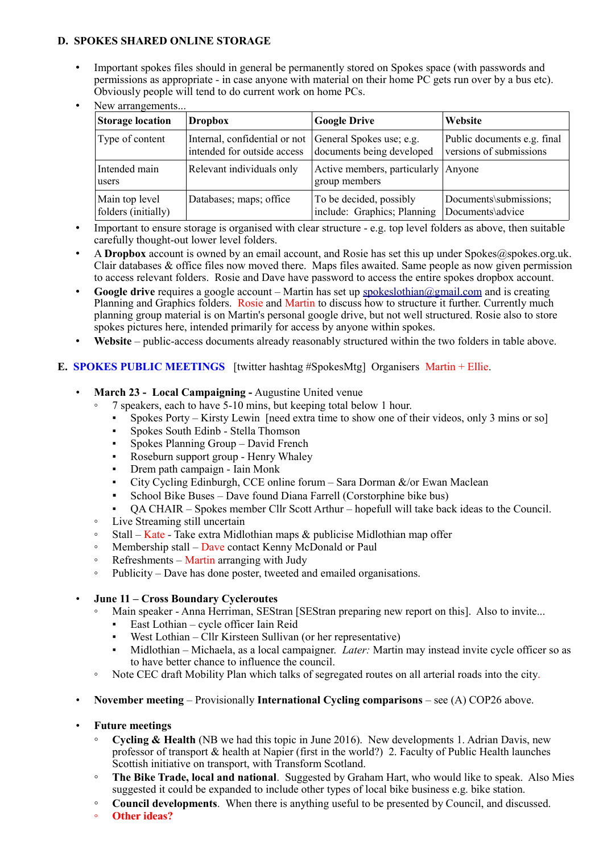## **D. SPOKES SHARED ONLINE STORAGE**

• Important spokes files should in general be permanently stored on Spokes space (with passwords and permissions as appropriate - in case anyone with material on their home PC gets run over by a bus etc). Obviously people will tend to do current work on home PCs.

| <b>Storage location</b>               | <b>Dropbox</b>                                                                        | <b>Google Drive</b>                                    | Website                                                |
|---------------------------------------|---------------------------------------------------------------------------------------|--------------------------------------------------------|--------------------------------------------------------|
| Type of content                       | Internal, confidential or not General Spokes use; e.g.<br>intended for outside access | documents being developed                              | Public documents e.g. final<br>versions of submissions |
| Intended main<br>users                | Relevant individuals only                                                             | Active members, particularly   Anyone<br>group members |                                                        |
| Main top level<br>folders (initially) | Databases; maps; office                                                               | To be decided, possibly<br>include: Graphics; Planning | Documents\submissions;<br>Documents\advice             |

New arrangements...

- Important to ensure storage is organised with clear structure e.g. top level folders as above, then suitable carefully thought-out lower level folders.
- A **Dropbox** account is owned by an email account, and Rosie has set this up under Spokes@spokes.org.uk. Clair databases & office files now moved there. Maps files awaited. Same people as now given permission to access relevant folders. Rosie and Dave have password to access the entire spokes dropbox account.
- **Google drive** requires a google account Martin has set up [spokeslothian@gmail.com](mailto:spokeslothian@gmail.com) and is creating Planning and Graphics folders. Rosie and Martin to discuss how to structure it further. Currently much planning group material is on Martin's personal google drive, but not well structured. Rosie also to store spokes pictures here, intended primarily for access by anyone within spokes.
- Website public-access documents already reasonably structured within the two folders in table above.

# **E. SPOKES PUBLIC MEETINGS** [twitter hashtag #SpokesMtg] Organisers Martin + Ellie.

- **March 23 Local Campaigning -** Augustine United venue
	- 7 speakers, each to have 5-10 mins, but keeping total below 1 hour.
		- Spokes Porty Kirsty Lewin [need extra time to show one of their videos, only 3 mins or so]
		- Spokes South Edinb Stella Thomson
		- Spokes Planning Group David French
		- Roseburn support group Henry Whaley
		- Drem path campaign Iain Monk
		- City Cycling Edinburgh, CCE online forum Sara Dorman &/or Ewan Maclean
		- School Bike Buses Dave found Diana Farrell (Corstorphine bike bus)
		- QA CHAIR Spokes member Cllr Scott Arthur hopefull will take back ideas to the Council.
	- Live Streaming still uncertain
	- $\circ$  Stall Kate Take extra Midlothian maps & publicise Midlothian map offer
	- Membership stall Dave contact Kenny McDonald or Paul
	- Refreshments Martin arranging with Judy
	- Publicity Dave has done poster, tweeted and emailed organisations.

## • **June 11 – Cross Boundary Cycleroutes**

- Main speaker Anna Herriman, SEStran [SEStran preparing new report on this]. Also to invite...
	- East Lothian cycle officer Iain Reid
	- West Lothian Cllr Kirsteen Sullivan (or her representative)
	- Midlothian Michaela, as a local campaigner. *Later:* Martin may instead invite cycle officer so as to have better chance to influence the council.
- Note CEC draft Mobility Plan which talks of segregated routes on all arterial roads into the city.

## • **November meeting** – Provisionally **International Cycling comparisons** – see (A) COP26 above.

- **Future meetings**
	- **Cycling & Health** (NB we had this topic in June 2016). New developments 1. Adrian Davis, new professor of transport & health at Napier (first in the world?) 2. Faculty of Public Health launches Scottish initiative on transport, with Transform Scotland.
	- **The Bike Trade, local and national**. Suggested by Graham Hart, who would like to speak. Also Mies suggested it could be expanded to include other types of local bike business e.g. bike station.
	- **Council developments**. When there is anything useful to be presented by Council, and discussed.
	- **Other ideas?**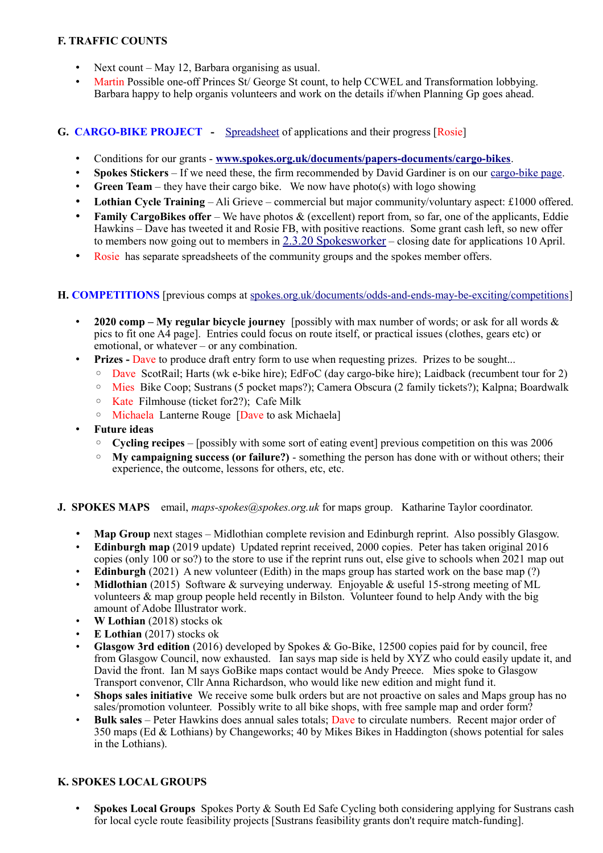# **F. TRAFFIC COUNTS**

- Next count May 12, Barbara organising as usual.
- Martin Possible one-off Princes St/ George St count, to help CCWEL and Transformation lobbying. Barbara happy to help organis volunteers and work on the details if/when Planning Gp goes ahead.

# **G. CARGO-BIKE PROJECT -** [Spreadsheet](https://drive.google.com/drive/folders/1BuWIrWRXwrDyFuw-nDA8n9ms37oAeKwH) of applications and their progress [Rosie]

- Conditions for our grants **[www.spokes.org.uk/documents/papers-documents/cargo-bikes](http://www.spokes.org.uk/documents/papers-documents/cargo-bikes)**.
- **Spokes Stickers** If we need these, the firm recommended by David Gardiner is on our [cargo-bike page.](http://www.spokes.org.uk/documents/advice/cargo-bikes/)
- **Green Team** they have their cargo bike. We now have photo(s) with logo showing
- **Lothian Cycle Training** Ali Grieve commercial but major community/voluntary aspect: £1000 offered.
- **Family CargoBikes offer** We have photos & (excellent) report from, so far, one of the applicants, Eddie Hawkins – Dave has tweeted it and Rosie FB, with positive reactions. Some grant cash left, so new offer to members now going out to members in [2.3.20 Spokesworker](http://www.spokes.org.uk/wp-content/uploads/2020/03/spwkr20.03.02.pdf) – closing date for applications 10 April.
- Rosie has separate spreadsheets of the community groups and the spokes member offers.

# **H. COMPETITIONS** [previous comps at [spokes.org.uk/documents/odds-and-ends-may-be-exciting/competitions\]](http://www.spokes.org.uk/documents/odds-and-ends-may-be-exciting/competitions/)

- **2020 comp – My regular bicycle journey** [possibly with max number of words; or ask for all words & pics to fit one A4 page]. Entries could focus on route itself, or practical issues (clothes, gears etc) or emotional, or whatever – or any combination.
- Prizes Dave to produce draft entry form to use when requesting prizes. Prizes to be sought...
	- Dave ScotRail; Harts (wk e-bike hire); EdFoC (day cargo-bike hire); Laidback (recumbent tour for 2)
	- Mies Bike Coop; Sustrans (5 pocket maps?); Camera Obscura (2 family tickets?); Kalpna; Boardwalk
	- Kate Filmhouse (ticket for2?); Cafe Milk
	- Michaela Lanterne Rouge [Dave to ask Michaela]
- **Future ideas**
	- **Cycling recipes** [possibly with some sort of eating event] previous competition on this was 2006
	- **My campaigning success (or failure?)** something the person has done with or without others; their experience, the outcome, lessons for others, etc, etc.

## **J. SPOKES MAPS** email, *maps-spokes* (*aspokes.org.uk* for maps group. Katharine Taylor coordinator.

- **Map Group** next stages Midlothian complete revision and Edinburgh reprint. Also possibly Glasgow.
- **Edinburgh map** (2019 update) Updated reprint received, 2000 copies. Peter has taken original 2016 copies (only 100 or so?) to the store to use if the reprint runs out, else give to schools when 2021 map out
- **Edinburgh** (2021) A new volunteer (Edith) in the maps group has started work on the base map (?)
- **Midlothian** (2015) Software & surveying underway. Enjoyable & useful 15-strong meeting of ML volunteers  $\&$  map group people held recently in Bilston. Volunteer found to help Andy with the big amount of Adobe Illustrator work.
- **W Lothian** (2018) stocks ok
- **E Lothian** (2017) stocks ok
- **Glasgow 3rd edition** (2016) developed by Spokes & Go-Bike, 12500 copies paid for by council, free from Glasgow Council, now exhausted. Ian says map side is held by  $X\overline{Y}Z$  who could easily update it, and David the front. Ian M says GoBike maps contact would be Andy Preece. Mies spoke to Glasgow Transport convenor, Cllr Anna Richardson, who would like new edition and might fund it.
- **Shops sales initiative** We receive some bulk orders but are not proactive on sales and Maps group has no sales/promotion volunteer. Possibly write to all bike shops, with free sample map and order form?
- **Bulk sales** Peter Hawkins does annual sales totals; Dave to circulate numbers. Recent major order of 350 maps (Ed & Lothians) by Changeworks; 40 by Mikes Bikes in Haddington (shows potential for sales in the Lothians).

# **K. SPOKES LOCAL GROUPS**

• **Spokes Local Groups** Spokes Porty & South Ed Safe Cycling both considering applying for Sustrans cash for local cycle route feasibility projects [Sustrans feasibility grants don't require match-funding].